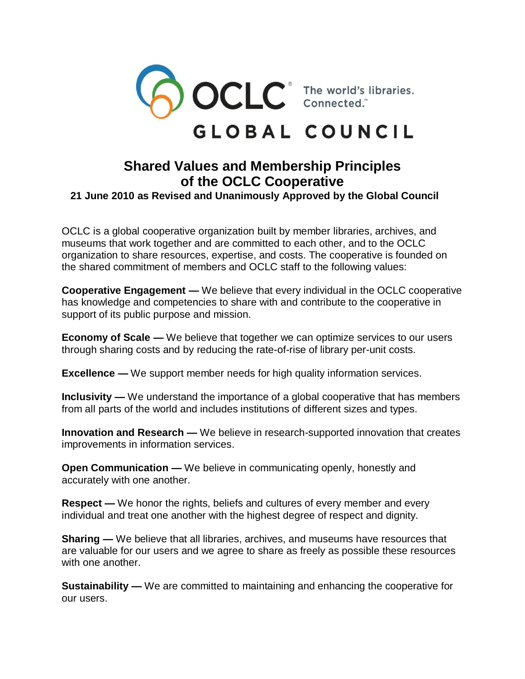

## GLOBAL COUNCIL

## **Shared Values and Membership Principles of the OCLC Cooperative**

 **21 June 2010 as Revised and Unanimously Approved by the Global Council**

OCLC is a global cooperative organization built by member libraries, archives, and museums that work together and are committed to each other, and to the OCLC organization to share resources, expertise, and costs. The cooperative is founded on the shared commitment of members and OCLC staff to the following values:

**Cooperative Engagement —** We believe that every individual in the OCLC cooperative has knowledge and competencies to share with and contribute to the cooperative in support of its public purpose and mission.

**Economy of Scale —** We believe that together we can optimize services to our users through sharing costs and by reducing the rate-of-rise of library per-unit costs.

**Excellence —** We support member needs for high quality information services.

**Inclusivity** — We understand the importance of a global cooperative that has members from all parts of the world and includes institutions of different sizes and types.

**Innovation and Research —** We believe in research-supported innovation that creates improvements in information services.

**Open Communication** — We believe in communicating openly, honestly and accurately with one another.

**Respect —** We honor the rights, beliefs and cultures of every member and every individual and treat one another with the highest degree of respect and dignity.

**Sharing —** We believe that all libraries, archives, and museums have resources that are valuable for our users and we agree to share as freely as possible these resources with one another.

**Sustainability —** We are committed to maintaining and enhancing the cooperative for our users.